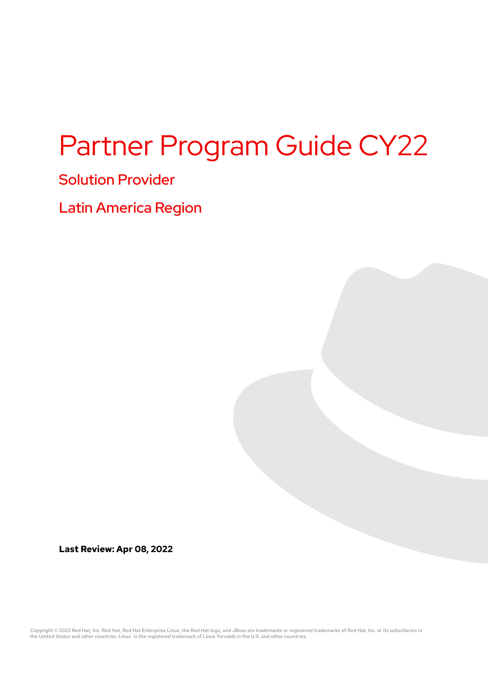# Partner Program Guide CY22

# Solution Provider

Latin America Region

**Last Review: Apr 08, 2022**

Copyright © 2022 Red Hat, Inc. Red Hat, Red Hat Enterprise Linux, the Red Hat logo, and JBoss are trademarks or registered trademarks of Red Hat, Inc. or its subsidiaries in<br>the United States and other countries. Linux® i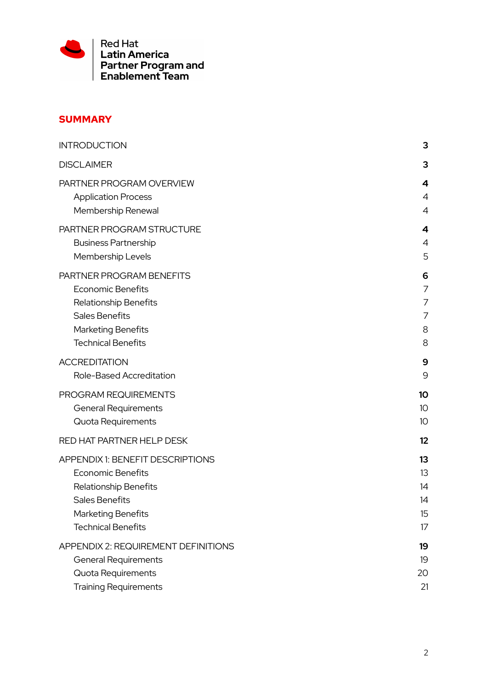

# **SUMMARY**

| <b>INTRODUCTION</b>                 | 3              |
|-------------------------------------|----------------|
| <b>DISCLAIMER</b>                   | 3              |
| PARTNER PROGRAM OVERVIEW            | 4              |
| <b>Application Process</b>          | 4              |
| Membership Renewal                  | $\overline{A}$ |
| PARTNER PROGRAM STRUCTURE           | 4              |
| <b>Business Partnership</b>         | 4              |
| Membership Levels                   | 5              |
| PARTNER PROGRAM BENEFITS            | 6              |
| <b>Economic Benefits</b>            | 7              |
| Relationship Benefits               | 7              |
| <b>Sales Benefits</b>               | 7              |
| <b>Marketing Benefits</b>           | 8              |
| <b>Technical Benefits</b>           | 8              |
| <b>ACCREDITATION</b>                | 9              |
| Role-Based Accreditation            | 9              |
| PROGRAM REQUIREMENTS                | 10             |
| <b>General Requirements</b>         | 10             |
| Quota Requirements                  | 10             |
| RED HAT PARTNER HELP DESK           | 12             |
| APPENDIX 1: BENEFIT DESCRIPTIONS    | 13             |
| <b>Economic Benefits</b>            | 13             |
| Relationship Benefits               | 14             |
| Sales Benefits                      | 14             |
| Marketing Benefits                  | 15             |
| <b>Technical Benefits</b>           | 17             |
| APPENDIX 2: REQUIREMENT DEFINITIONS | 19             |
| <b>General Requirements</b>         | 19             |
| Quota Requirements                  | 20             |
| <b>Training Requirements</b>        | 21             |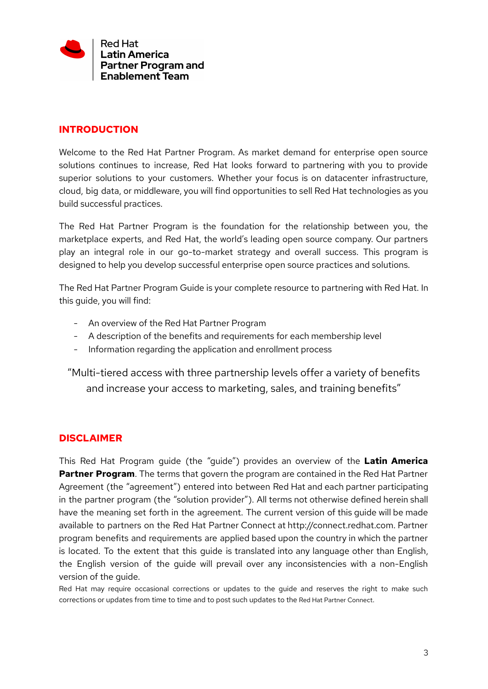

## <span id="page-2-0"></span>**INTRODUCTION**

Welcome to the Red Hat Partner Program. As market demand for enterprise open source solutions continues to increase, Red Hat looks forward to partnering with you to provide superior solutions to your customers. Whether your focus is on datacenter infrastructure, cloud, big data, or middleware, you will find opportunities to sell Red Hat technologies as you build successful practices.

The Red Hat Partner Program is the foundation for the relationship between you, the marketplace experts, and Red Hat, the world's leading open source company. Our partners play an integral role in our go-to-market strategy and overall success. This program is designed to help you develop successful enterprise open source practices and solutions.

The Red Hat Partner Program Guide is your complete resource to partnering with Red Hat. In this guide, you will find:

- An overview of the Red Hat Partner Program
- A description of the benefits and requirements for each membership level
- Information regarding the application and enrollment process

"Multi-tiered access with three partnership levels offer a variety of benefits and increase your access to marketing, sales, and training benefits"

## <span id="page-2-1"></span>**DISCLAIMER**

This Red Hat Program guide (the "guide") provides an overview of the **Latin America Partner Program**. The terms that govern the program are contained in the Red Hat Partner Agreement (the "agreement") entered into between Red Hat and each partner participating in the partner program (the "solution provider"). All terms not otherwise defined herein shall have the meaning set forth in the agreement. The current version of this guide will be made available to partners on the Red Hat Partner Connect at http://connect.redhat.com. Partner program benefits and requirements are applied based upon the country in which the partner is located. To the extent that this guide is translated into any language other than English, the English version of the guide will prevail over any inconsistencies with a non-English version of the guide.

Red Hat may require occasional corrections or updates to the guide and reserves the right to make such corrections or updates from time to time and to post such updates to the Red Hat Partner Connect.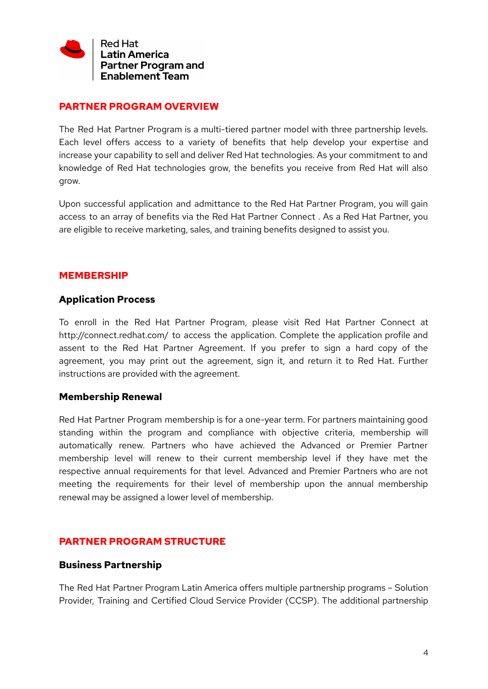

## <span id="page-3-0"></span>**PARTNER PROGRAM OVERVIEW**

The Red Hat Partner Program is a multi-tiered partner model with three partnership levels. Each level offers access to a variety of benefits that help develop your expertise and increase your capability to sell and deliver Red Hat technologies. As your commitment to and knowledge of Red Hat technologies grow, the benefits you receive from Red Hat will also grow.

Upon successful application and admittance to the Red Hat Partner Program, you will gain access to an array of benefits via the Red Hat Partner Connect . As a Red Hat Partner, you are eligible to receive marketing, sales, and training benefits designed to assist you.

## **MEMBERSHIP**

## <span id="page-3-1"></span>**Application Process**

To enroll in the Red Hat Partner Program, please visit Red Hat Partner Connect at http://connect.redhat.com/ to access the application. Complete the application profile and assent to the Red Hat Partner Agreement. If you prefer to sign a hard copy of the agreement, you may print out the agreement, sign it, and return it to Red Hat. Further instructions are provided with the agreement.

#### <span id="page-3-2"></span>**Membership Renewal**

Red Hat Partner Program membership is for a one-year term. For partners maintaining good standing within the program and compliance with objective criteria, membership will automatically renew. Partners who have achieved the Advanced or Premier Partner membership level will renew to their current membership level if they have met the respective annual requirements for that level. Advanced and Premier Partners who are not meeting the requirements for their level of membership upon the annual membership renewal may be assigned a lower level of membership.

## <span id="page-3-3"></span>**PARTNER PROGRAM STRUCTURE**

#### <span id="page-3-4"></span>**Business Partnership**

The Red Hat Partner Program Latin America offers multiple partnership programs – Solution Provider, Training and Certified Cloud Service Provider (CCSP). The additional partnership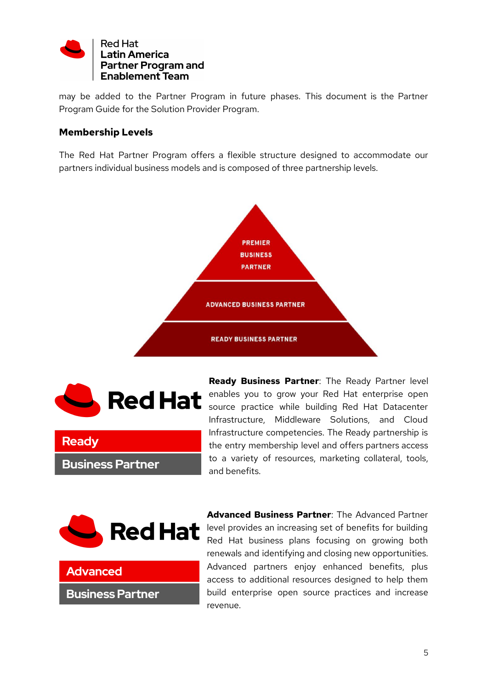

may be added to the Partner Program in future phases. This document is the Partner Program Guide for the Solution Provider Program.

# <span id="page-4-0"></span>**Membership Levels**

The Red Hat Partner Program offers a flexible structure designed to accommodate our partners individual business models and is composed of three partnership levels.





**Business Partner** 

**Advanced** 

**Business Partner** 

**Ready** 

**Ready Business Partner**: The Ready Partner level enables you to grow your Red Hat enterprise open source practice while building Red Hat Datacenter Infrastructure, Middleware Solutions, and Cloud Infrastructure competencies. The Ready partnership is the entry membership level and offers partners access to a variety of resources, marketing collateral, tools, and benefits.



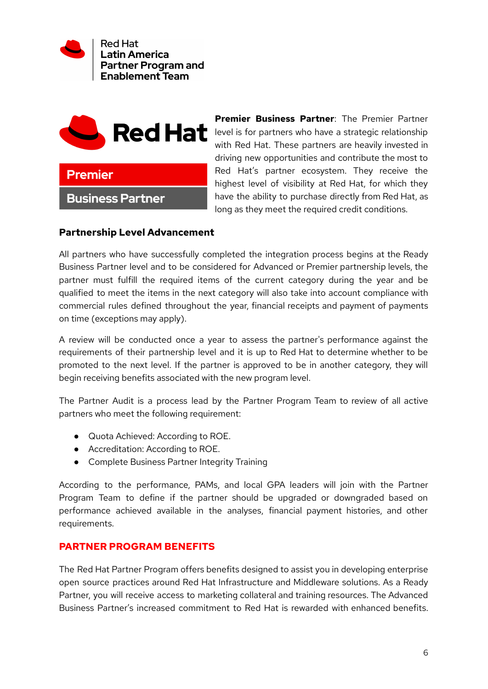



**Business Partner** 

**Premier Business Partner**: The Premier Partner level is for partners who have a strategic relationship with Red Hat. These partners are heavily invested in driving new opportunities and contribute the most to Red Hat's partner ecosystem. They receive the highest level of visibility at Red Hat, for which they have the ability to purchase directly from Red Hat, as long as they meet the required credit conditions.

## **Partnership Level Advancement**

All partners who have successfully completed the integration process begins at the Ready Business Partner level and to be considered for Advanced or Premier partnership levels, the partner must fulfill the required items of the current category during the year and be qualified to meet the items in the next category will also take into account compliance with commercial rules defined throughout the year, financial receipts and payment of payments on time (exceptions may apply).

A review will be conducted once a year to assess the partner's performance against the requirements of their partnership level and it is up to Red Hat to determine whether to be promoted to the next level. If the partner is approved to be in another category, they will begin receiving benefits associated with the new program level.

The Partner Audit is a process lead by the Partner Program Team to review of all active partners who meet the following requirement:

- Quota Achieved: According to ROE.
- Accreditation: According to ROE.
- Complete Business Partner Integrity Training

According to the performance, PAMs, and local GPA leaders will join with the Partner Program Team to define if the partner should be upgraded or downgraded based on performance achieved available in the analyses, financial payment histories, and other requirements.

## <span id="page-5-0"></span>**PARTNER PROGRAM BENEFITS**

The Red Hat Partner Program offers benefits designed to assist you in developing enterprise open source practices around Red Hat Infrastructure and Middleware solutions. As a Ready Partner, you will receive access to marketing collateral and training resources. The Advanced Business Partner's increased commitment to Red Hat is rewarded with enhanced benefits.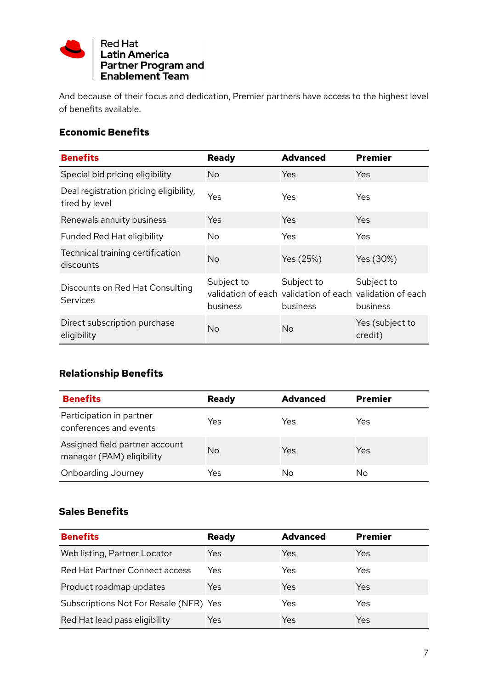

And because of their focus and dedication, Premier partners have access to the highest level of benefits available.

# <span id="page-6-0"></span>**Economic Benefits**

| <b>Benefits</b>                                          | <b>Ready</b>           | <b>Advanced</b>                                                                    | <b>Premier</b>             |
|----------------------------------------------------------|------------------------|------------------------------------------------------------------------------------|----------------------------|
| Special bid pricing eligibility                          | No.                    | Yes                                                                                | Yes                        |
| Deal registration pricing eligibility,<br>tired by level | Yes                    | Yes                                                                                | <b>Yes</b>                 |
| Renewals annuity business                                | Yes                    | Yes                                                                                | Yes                        |
| Funded Red Hat eligibility                               | No                     | Yes                                                                                | Yes                        |
| Technical training certification<br>discounts            | <b>No</b>              | Yes (25%)                                                                          | Yes (30%)                  |
| Discounts on Red Hat Consulting<br><b>Services</b>       | Subject to<br>business | Subject to<br>validation of each validation of each validation of each<br>business | Subject to<br>business     |
| Direct subscription purchase<br>eligibility              | No                     | No                                                                                 | Yes (subject to<br>credit) |

# <span id="page-6-1"></span>**Relationship Benefits**

| <b>Benefits</b>                                             | <b>Ready</b> | <b>Advanced</b> | <b>Premier</b> |
|-------------------------------------------------------------|--------------|-----------------|----------------|
| Participation in partner<br>conferences and events          | Yes          | Yes             | Yes            |
| Assigned field partner account<br>manager (PAM) eligibility | No           | Yes             | Yes            |
| Onboarding Journey                                          | Yes          | No              | No             |

# <span id="page-6-2"></span>**Sales Benefits**

| <b>Benefits</b>                        | <b>Ready</b> | <b>Advanced</b> | <b>Premier</b> |
|----------------------------------------|--------------|-----------------|----------------|
| Web listing, Partner Locator           | Yes          | Yes             | Yes            |
| Red Hat Partner Connect access         | Yes          | Yes             | Yes            |
| Product roadmap updates                | Yes          | Yes             | Yes            |
| Subscriptions Not For Resale (NFR) Yes |              | Yes             | Yes            |
| Red Hat lead pass eligibility          | Yes          | Yes             | Yes            |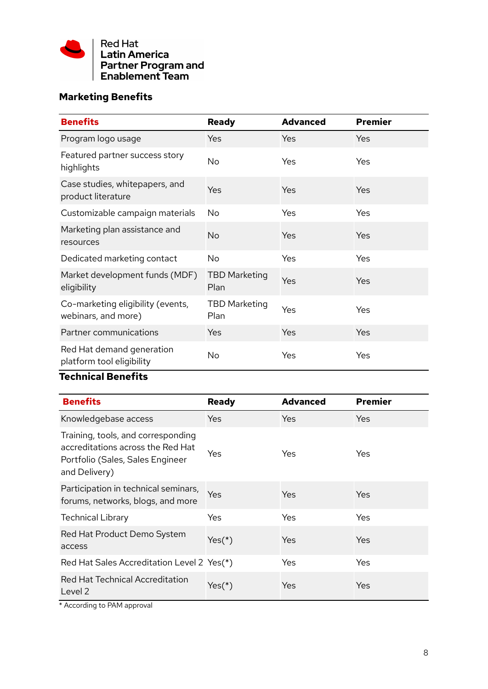

# <span id="page-7-0"></span>**Marketing Benefits**

| <b>Benefits</b>                                          | <b>Ready</b>                 | <b>Advanced</b> | <b>Premier</b> |
|----------------------------------------------------------|------------------------------|-----------------|----------------|
| Program logo usage                                       | Yes                          | Yes             | Yes            |
| Featured partner success story<br>highlights             | <b>No</b>                    | Yes             | <b>Yes</b>     |
| Case studies, whitepapers, and<br>product literature     | Yes                          | Yes             | Yes            |
| Customizable campaign materials                          | No                           | Yes             | Yes            |
| Marketing plan assistance and<br>resources               | <b>No</b>                    | Yes             | Yes            |
| Dedicated marketing contact                              | <b>No</b>                    | Yes             | Yes            |
| Market development funds (MDF)<br>eligibility            | <b>TBD Marketing</b><br>Plan | Yes             | Yes            |
| Co-marketing eligibility (events,<br>webinars, and more) | <b>TBD Marketing</b><br>Plan | Yes             | Yes            |
| Partner communications                                   | Yes                          | Yes             | Yes            |
| Red Hat demand generation<br>platform tool eligibility   | No                           | Yes             | Yes            |

# <span id="page-7-1"></span>**Technical Benefits**

| <b>Benefits</b>                                                                                                              | <b>Ready</b> | <b>Advanced</b> | <b>Premier</b> |
|------------------------------------------------------------------------------------------------------------------------------|--------------|-----------------|----------------|
| Knowledgebase access                                                                                                         | <b>Yes</b>   | Yes             | Yes            |
| Training, tools, and corresponding<br>accreditations across the Red Hat<br>Portfolio (Sales, Sales Engineer<br>and Delivery) | Yes          | Yes             | Yes            |
| Participation in technical seminars,<br>forums, networks, blogs, and more                                                    | Yes          | Yes             | Yes            |
| <b>Technical Library</b>                                                                                                     | Yes          | Yes             | Yes            |
| Red Hat Product Demo System<br>access                                                                                        | $Yes(*)$     | Yes             | Yes            |
| Red Hat Sales Accreditation Level 2 Yes(*)                                                                                   |              | Yes             | Yes            |
| Red Hat Technical Accreditation<br>Level 2                                                                                   | $Yes(*)$     | Yes             | Yes            |

\* According to PAM approval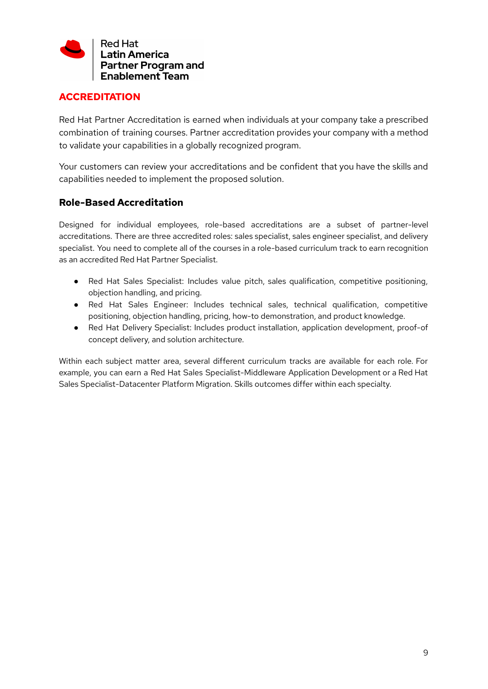

# <span id="page-8-0"></span>**ACCREDITATION**

Red Hat Partner Accreditation is earned when individuals at your company take a prescribed combination of training courses. Partner accreditation provides your company with a method to validate your capabilities in a globally recognized program.

Your customers can review your accreditations and be confident that you have the skills and capabilities needed to implement the proposed solution.

## <span id="page-8-1"></span>**Role-Based Accreditation**

Designed for individual employees, role-based accreditations are a subset of partner-level accreditations. There are three accredited roles: sales specialist, sales engineer specialist, and delivery specialist. You need to complete all of the courses in a role-based curriculum track to earn recognition as an accredited Red Hat Partner Specialist.

- Red Hat Sales Specialist: Includes value pitch, sales qualification, competitive positioning, objection handling, and pricing.
- Red Hat Sales Engineer: Includes technical sales, technical qualification, competitive positioning, objection handling, pricing, how-to demonstration, and product knowledge.
- Red Hat Delivery Specialist: Includes product installation, application development, proof-of concept delivery, and solution architecture.

Within each subject matter area, several different curriculum tracks are available for each role. For example, you can earn a Red Hat Sales Specialist-Middleware Application Development or a Red Hat Sales Specialist-Datacenter Platform Migration. Skills outcomes differ within each specialty.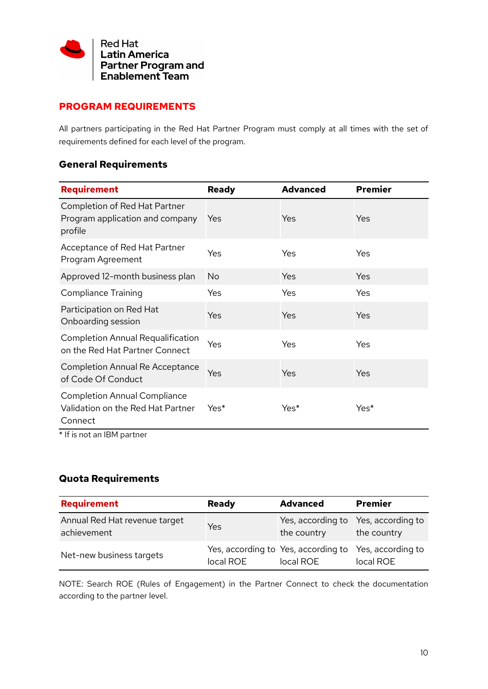

# <span id="page-9-0"></span>**PROGRAM REQUIREMENTS**

All partners participating in the Red Hat Partner Program must comply at all times with the set of requirements defined for each level of the program.

# <span id="page-9-1"></span>**General Requirements**

| Requirement                                                                         | <b>Ready</b> | <b>Advanced</b> | <b>Premier</b> |
|-------------------------------------------------------------------------------------|--------------|-----------------|----------------|
| Completion of Red Hat Partner<br>Program application and company<br>profile         | Yes          | Yes             | Yes            |
| Acceptance of Red Hat Partner<br>Program Agreement                                  | Yes          | Yes             | Yes            |
| Approved 12-month business plan                                                     | <b>No</b>    | Yes             | Yes            |
| <b>Compliance Training</b>                                                          | Yes          | Yes             | Yes            |
| Participation on Red Hat<br>Onboarding session                                      | Yes          | Yes             | Yes            |
| <b>Completion Annual Requalification</b><br>on the Red Hat Partner Connect          | Yes          | Yes             | Yes            |
| <b>Completion Annual Re Acceptance</b><br>of Code Of Conduct                        | Yes          | Yes             | Yes            |
| <b>Completion Annual Compliance</b><br>Validation on the Red Hat Partner<br>Connect | Yes*         | Yes*            | Yes*           |

\* If is not an IBM partner

# <span id="page-9-2"></span>**Quota Requirements**

| Requirement                                  | <b>Ready</b> | <b>Advanced</b>                                  | <b>Premier</b>                   |
|----------------------------------------------|--------------|--------------------------------------------------|----------------------------------|
| Annual Red Hat revenue target<br>achievement | Yes          | Yes, according to<br>the country                 | Yes, according to<br>the country |
| Net-new business targets                     | local ROE    | Yes, according to Yes, according to<br>local ROE | Yes, according to<br>local ROE   |

NOTE: Search ROE (Rules of Engagement) in the Partner Connect to check the documentation according to the partner level.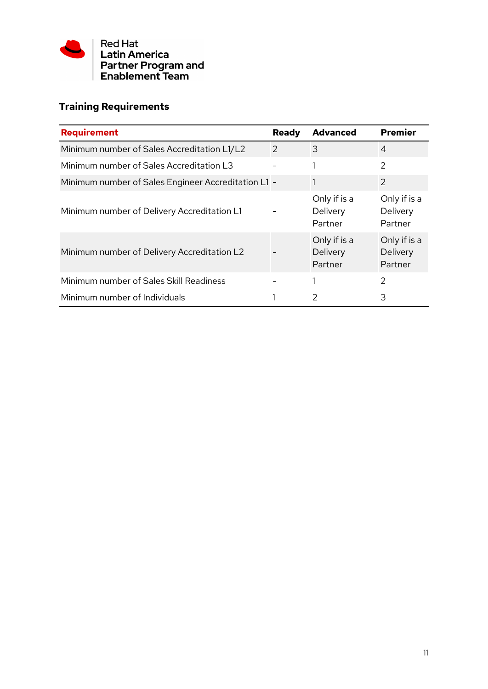

# **Training Requirements**

| <b>Requirement</b>                                  | <b>Ready</b> | <b>Advanced</b>                     | <b>Premier</b>                      |
|-----------------------------------------------------|--------------|-------------------------------------|-------------------------------------|
| Minimum number of Sales Accreditation L1/L2         | 2            | 3                                   | $\overline{4}$                      |
| Minimum number of Sales Accreditation L3            |              |                                     | 2                                   |
| Minimum number of Sales Engineer Accreditation L1 - |              | 1                                   | $\overline{2}$                      |
| Minimum number of Delivery Accreditation L1         |              | Only if is a<br>Delivery<br>Partner | Only if is a<br>Delivery<br>Partner |
| Minimum number of Delivery Accreditation L2         |              | Only if is a<br>Delivery<br>Partner | Only if is a<br>Delivery<br>Partner |
| Minimum number of Sales Skill Readiness             |              |                                     | $\mathcal{P}$                       |
| Minimum number of Individuals                       |              | 2                                   | 3                                   |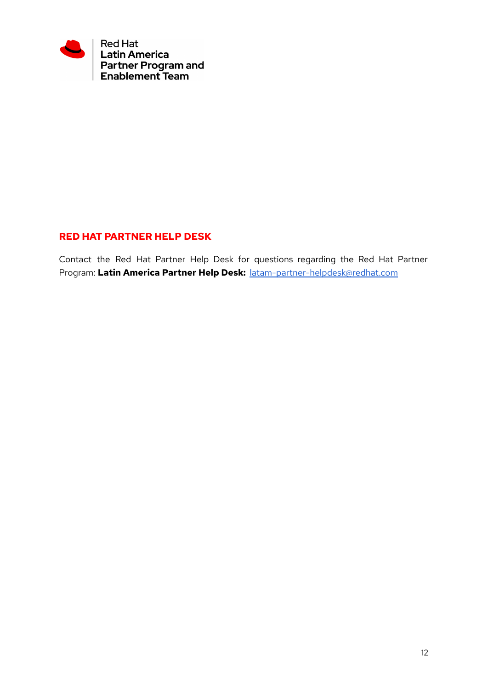

## <span id="page-11-0"></span>**RED HAT PARTNER HELP DESK**

Contact the Red Hat Partner Help Desk for questions regarding the Red Hat Partner Program: **Latin America Partner Help Desk:** [latam-partner-helpdesk@redhat.com](mailto:latam-partner-helpdesk@redhat.com)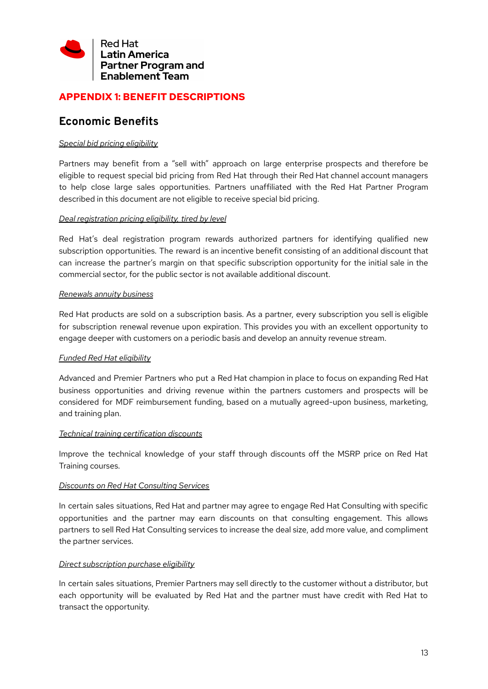

# <span id="page-12-0"></span>**APPENDIX 1: BENEFIT DESCRIPTIONS**

# <span id="page-12-1"></span>**Economic Benefits**

#### *Special bid pricing eligibility*

Partners may benefit from a "sell with" approach on large enterprise prospects and therefore be eligible to request special bid pricing from Red Hat through their Red Hat channel account managers to help close large sales opportunities. Partners unaffiliated with the Red Hat Partner Program described in this document are not eligible to receive special bid pricing.

#### *Deal registration pricing eligibility, tired by level*

Red Hat's deal registration program rewards authorized partners for identifying qualified new subscription opportunities. The reward is an incentive benefit consisting of an additional discount that can increase the partner's margin on that specific subscription opportunity for the initial sale in the commercial sector, for the public sector is not available additional discount.

#### *Renewals annuity business*

Red Hat products are sold on a subscription basis. As a partner, every subscription you sell is eligible for subscription renewal revenue upon expiration. This provides you with an excellent opportunity to engage deeper with customers on a periodic basis and develop an annuity revenue stream.

#### *Funded Red Hat eligibility*

Advanced and Premier Partners who put a Red Hat champion in place to focus on expanding Red Hat business opportunities and driving revenue within the partners customers and prospects will be considered for MDF reimbursement funding, based on a mutually agreed-upon business, marketing, and training plan.

#### *Technical training certification discounts*

Improve the technical knowledge of your staff through discounts off the MSRP price on Red Hat Training courses.

#### *Discounts on Red Hat Consulting Services*

In certain sales situations, Red Hat and partner may agree to engage Red Hat Consulting with specific opportunities and the partner may earn discounts on that consulting engagement. This allows partners to sell Red Hat Consulting services to increase the deal size, add more value, and compliment the partner services.

#### *Direct subscription purchase eligibility*

In certain sales situations, Premier Partners may sell directly to the customer without a distributor, but each opportunity will be evaluated by Red Hat and the partner must have credit with Red Hat to transact the opportunity.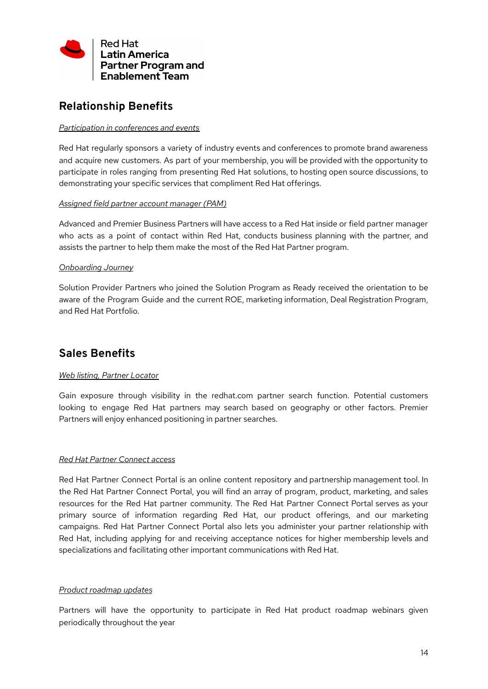

# <span id="page-13-0"></span>**Relationship Benefits**

#### *Participation in conferences and events*

Red Hat regularly sponsors a variety of industry events and conferences to promote brand awareness and acquire new customers. As part of your membership, you will be provided with the opportunity to participate in roles ranging from presenting Red Hat solutions, to hosting open source discussions, to demonstrating your specific services that compliment Red Hat offerings.

#### *Assigned field partner account manager (PAM)*

Advanced and Premier Business Partners will have access to a Red Hat inside or field partner manager who acts as a point of contact within Red Hat, conducts business planning with the partner, and assists the partner to help them make the most of the Red Hat Partner program.

#### *Onboarding Journey*

Solution Provider Partners who joined the Solution Program as Ready received the orientation to be aware of the Program Guide and the current ROE, marketing information, Deal Registration Program, and Red Hat Portfolio.

# <span id="page-13-1"></span>**Sales Benefits**

#### *Web listing, Partner Locator*

Gain exposure through visibility in the redhat.com partner search function. Potential customers looking to engage Red Hat partners may search based on geography or other factors. Premier Partners will enjoy enhanced positioning in partner searches.

#### *Red Hat Partner Connect access*

Red Hat Partner Connect Portal is an online content repository and partnership management tool. In the Red Hat Partner Connect Portal, you will find an array of program, product, marketing, and sales resources for the Red Hat partner community. The Red Hat Partner Connect Portal serves as your primary source of information regarding Red Hat, our product offerings, and our marketing campaigns. Red Hat Partner Connect Portal also lets you administer your partner relationship with Red Hat, including applying for and receiving acceptance notices for higher membership levels and specializations and facilitating other important communications with Red Hat.

#### *Product roadmap updates*

Partners will have the opportunity to participate in Red Hat product roadmap webinars given periodically throughout the year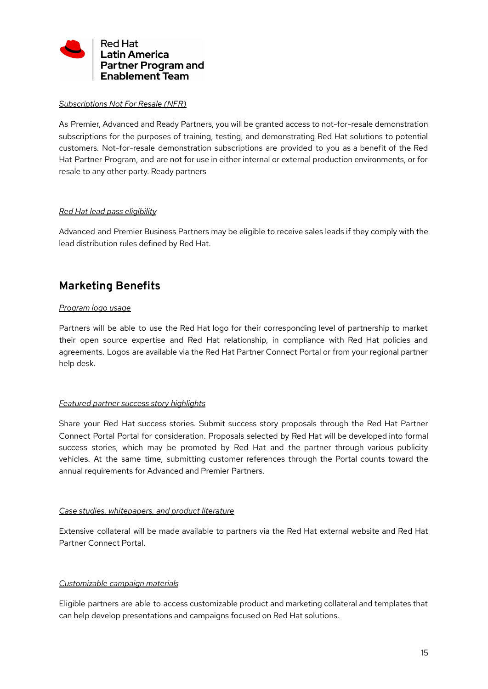

#### *Subscriptions Not For Resale (NFR)*

As Premier, Advanced and Ready Partners, you will be granted access to not-for-resale demonstration subscriptions for the purposes of training, testing, and demonstrating Red Hat solutions to potential customers. Not-for-resale demonstration subscriptions are provided to you as a benefit of the Red Hat Partner Program, and are not for use in either internal or external production environments, or for resale to any other party. Ready partners

#### *Red Hat lead pass eligibility*

Advanced and Premier Business Partners may be eligible to receive sales leads if they comply with the lead distribution rules defined by Red Hat.

# <span id="page-14-0"></span>**Marketing Benefits**

#### *Program logo usage*

Partners will be able to use the Red Hat logo for their corresponding level of partnership to market their open source expertise and Red Hat relationship, in compliance with Red Hat policies and agreements. Logos are available via the Red Hat Partner Connect Portal or from your regional partner help desk.

#### *Featured partner success story highlights*

Share your Red Hat success stories. Submit success story proposals through the Red Hat Partner Connect Portal Portal for consideration. Proposals selected by Red Hat will be developed into formal success stories, which may be promoted by Red Hat and the partner through various publicity vehicles. At the same time, submitting customer references through the Portal counts toward the annual requirements for Advanced and Premier Partners.

#### *Case studies, whitepapers, and product literature*

Extensive collateral will be made available to partners via the Red Hat external website and Red Hat Partner Connect Portal.

#### *Customizable campaign materials*

Eligible partners are able to access customizable product and marketing collateral and templates that can help develop presentations and campaigns focused on Red Hat solutions.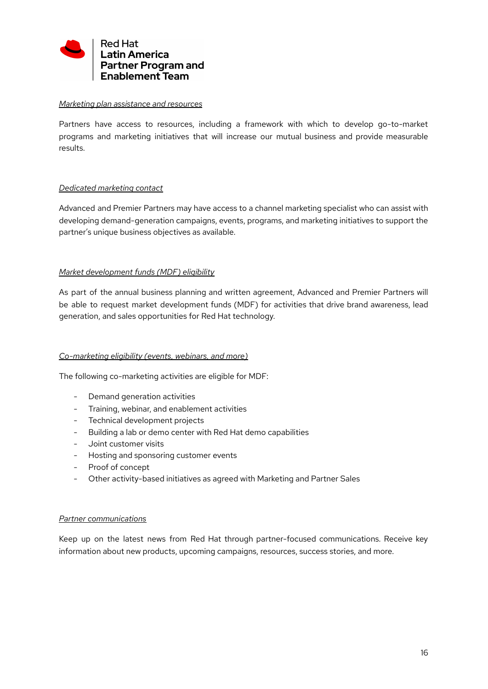

#### *Marketing plan assistance and resources*

Partners have access to resources, including a framework with which to develop go-to-market programs and marketing initiatives that will increase our mutual business and provide measurable results.

#### *Dedicated marketing contact*

Advanced and Premier Partners may have access to a channel marketing specialist who can assist with developing demand-generation campaigns, events, programs, and marketing initiatives to support the partner's unique business objectives as available.

#### *Market development funds (MDF) eligibility*

As part of the annual business planning and written agreement, Advanced and Premier Partners will be able to request market development funds (MDF) for activities that drive brand awareness, lead generation, and sales opportunities for Red Hat technology.

#### *Co-marketing eligibility (events, webinars, and more)*

The following co-marketing activities are eligible for MDF:

- Demand generation activities
- Training, webinar, and enablement activities
- Technical development projects
- Building a lab or demo center with Red Hat demo capabilities
- Joint customer visits
- Hosting and sponsoring customer events
- Proof of concept
- Other activity-based initiatives as agreed with Marketing and Partner Sales

#### *Partner communications*

Keep up on the latest news from Red Hat through partner-focused communications. Receive key information about new products, upcoming campaigns, resources, success stories, and more.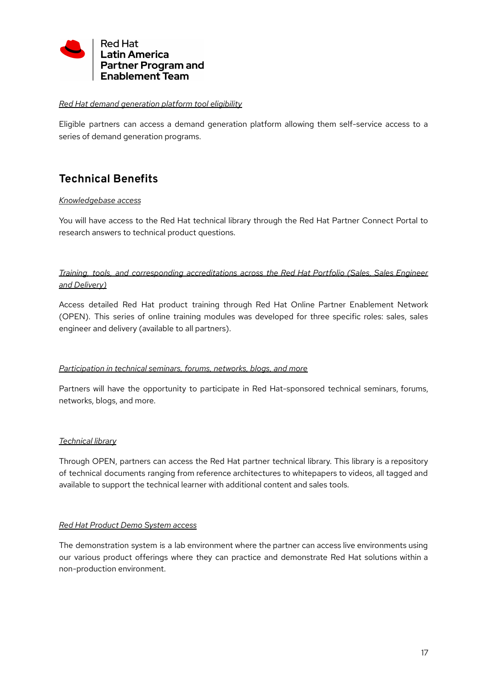

#### *Red Hat demand generation platform tool eligibility*

Eligible partners can access a demand generation platform allowing them self-service access to a series of demand generation programs.

# <span id="page-16-0"></span>**Technical Benefits**

#### *Knowledgebase access*

You will have access to the Red Hat technical library through the Red Hat Partner Connect Portal to research answers to technical product questions.

## *Training, tools, and corresponding accreditations across the Red Hat Portfolio (Sales, Sales Engineer and Delivery)*

Access detailed Red Hat product training through Red Hat Online Partner Enablement Network (OPEN). This series of online training modules was developed for three specific roles: sales, sales engineer and delivery (available to all partners).

#### *Participation in technical seminars, forums, networks, blogs, and more*

Partners will have the opportunity to participate in Red Hat-sponsored technical seminars, forums, networks, blogs, and more.

#### *Technical library*

Through OPEN, partners can access the Red Hat partner technical library. This library is a repository of technical documents ranging from reference architectures to whitepapers to videos, all tagged and available to support the technical learner with additional content and sales tools.

#### *Red Hat Product Demo System access*

The demonstration system is a lab environment where the partner can access live environments using our various product offerings where they can practice and demonstrate Red Hat solutions within a non-production environment.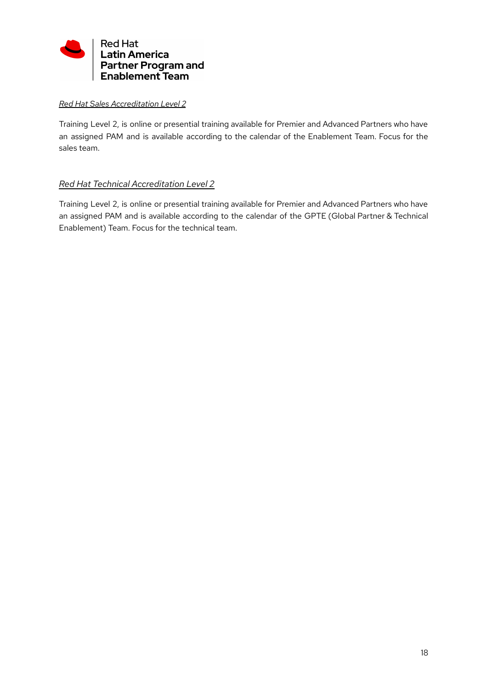

#### *Red Hat Sales Accreditation Level 2*

Training Level 2, is online or presential training available for Premier and Advanced Partners who have an assigned PAM and is available according to the calendar of the Enablement Team. Focus for the sales team.

## *Red Hat Technical Accreditation Level 2*

Training Level 2, is online or presential training available for Premier and Advanced Partners who have an assigned PAM and is available according to the calendar of the GPTE (Global Partner & Technical Enablement) Team. Focus for the technical team.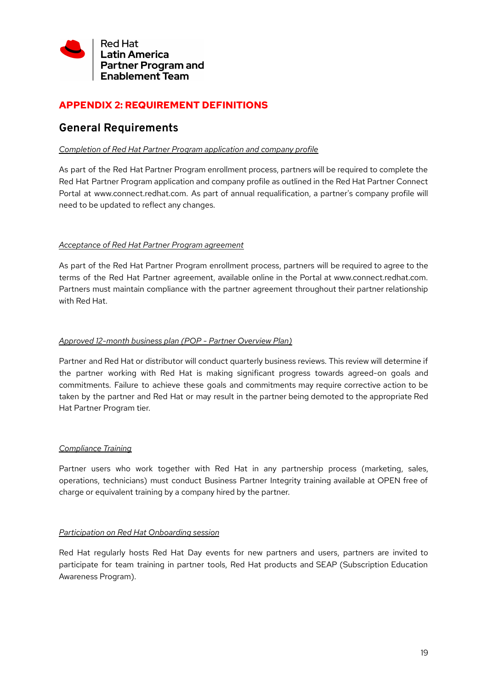

# <span id="page-18-0"></span>**APPENDIX 2: REQUIREMENT DEFINITIONS**

# <span id="page-18-1"></span>**General Requirements**

#### *Completion of Red Hat Partner Program application and company profile*

As part of the Red Hat Partner Program enrollment process, partners will be required to complete the Red Hat Partner Program application and company profile as outlined in the Red Hat Partner Connect Portal at www.connect.redhat.com. As part of annual requalification, a partner's company profile will need to be updated to reflect any changes.

#### *Acceptance of Red Hat Partner Program agreement*

As part of the Red Hat Partner Program enrollment process, partners will be required to agree to the terms of the Red Hat Partner agreement, available online in the Portal at www.connect.redhat.com. Partners must maintain compliance with the partner agreement throughout their partner relationship with Red Hat.

#### *Approved 12-month business plan (POP - Partner Overview Plan)*

Partner and Red Hat or distributor will conduct quarterly business reviews. This review will determine if the partner working with Red Hat is making significant progress towards agreed-on goals and commitments. Failure to achieve these goals and commitments may require corrective action to be taken by the partner and Red Hat or may result in the partner being demoted to the appropriate Red Hat Partner Program tier.

#### *Compliance Training*

Partner users who work together with Red Hat in any partnership process (marketing, sales, operations, technicians) must conduct Business Partner Integrity training available at OPEN free of charge or equivalent training by a company hired by the partner.

#### *Participation on Red Hat Onboarding session*

Red Hat regularly hosts Red Hat Day events for new partners and users, partners are invited to participate for team training in partner tools, Red Hat products and SEAP (Subscription Education Awareness Program).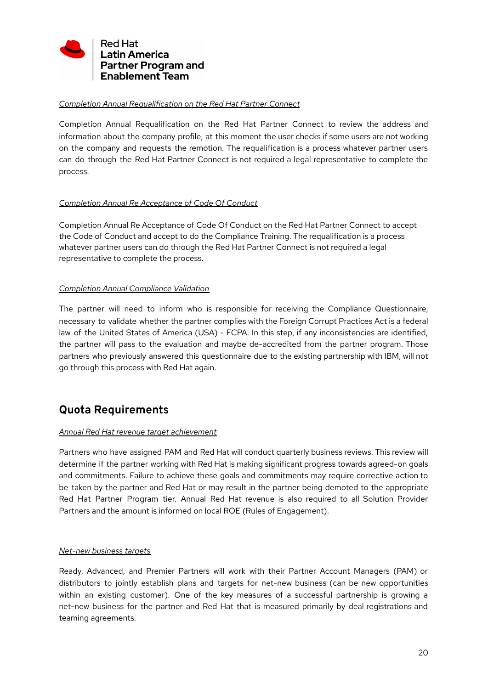

#### *Completion Annual Requalification on the Red Hat Partner Connect*

Completion Annual Requalification on the Red Hat Partner Connect to review the address and information about the company profile, at this moment the user checks if some users are not working on the company and requests the remotion. The requalification is a process whatever partner users can do through the Red Hat Partner Connect is not required a legal representative to complete the process.

#### *Completion Annual Re Acceptance of Code Of Conduct*

Completion Annual Re Acceptance of Code Of Conduct on the Red Hat Partner Connect to accept the Code of Conduct and accept to do the Compliance Training. The requalification is a process whatever partner users can do through the Red Hat Partner Connect is not required a legal representative to complete the process.

#### *Completion Annual Compliance Validation*

The partner will need to inform who is responsible for receiving the Compliance Questionnaire, necessary to validate whether the partner complies with the Foreign Corrupt Practices Act is a federal law of the United States of America (USA) - FCPA. In this step, if any inconsistencies are identified, the partner will pass to the evaluation and maybe de-accredited from the partner program. Those partners who previously answered this questionnaire due to the existing partnership with IBM, will not go through this process with Red Hat again.

# <span id="page-19-0"></span>**Quota Requirements**

#### *Annual Red Hat revenue target achievement*

Partners who have assigned PAM and Red Hat will conduct quarterly business reviews. This review will determine if the partner working with Red Hat is making significant progress towards agreed-on goals and commitments. Failure to achieve these goals and commitments may require corrective action to be taken by the partner and Red Hat or may result in the partner being demoted to the appropriate Red Hat Partner Program tier. Annual Red Hat revenue is also required to all Solution Provider Partners and the amount is informed on local ROE (Rules of Engagement).

#### *Net-new business targets*

Ready, Advanced, and Premier Partners will work with their Partner Account Managers (PAM) or distributors to jointly establish plans and targets for net-new business (can be new opportunities within an existing customer). One of the key measures of a successful partnership is growing a net-new business for the partner and Red Hat that is measured primarily by deal registrations and teaming agreements.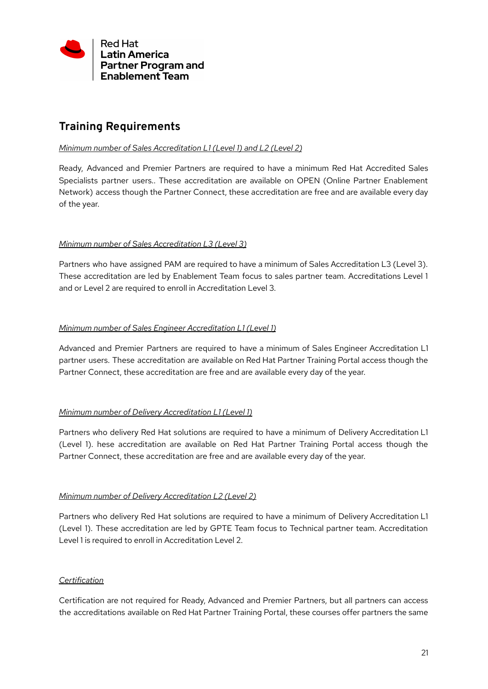

# <span id="page-20-0"></span>**Training Requirements**

#### *Minimum number of Sales Accreditation L1 (Level 1) and L2 (Level 2)*

Ready, Advanced and Premier Partners are required to have a minimum Red Hat Accredited Sales Specialists partner users.. These accreditation are available on OPEN (Online Partner Enablement Network) access though the Partner Connect, these accreditation are free and are available every day of the year.

#### *Minimum number of Sales Accreditation L3 (Level 3)*

Partners who have assigned PAM are required to have a minimum of Sales Accreditation L3 (Level 3). These accreditation are led by Enablement Team focus to sales partner team. Accreditations Level 1 and or Level 2 are required to enroll in Accreditation Level 3.

#### *Minimum number of Sales Engineer Accreditation L1 (Level 1)*

Advanced and Premier Partners are required to have a minimum of Sales Engineer Accreditation L1 partner users. These accreditation are available on Red Hat Partner Training Portal access though the Partner Connect, these accreditation are free and are available every day of the year.

#### *Minimum number of Delivery Accreditation L1 (Level 1)*

Partners who delivery Red Hat solutions are required to have a minimum of Delivery Accreditation L1 (Level 1). hese accreditation are available on Red Hat Partner Training Portal access though the Partner Connect, these accreditation are free and are available every day of the year.

#### *Minimum number of Delivery Accreditation L2 (Level 2)*

Partners who delivery Red Hat solutions are required to have a minimum of Delivery Accreditation L1 (Level 1). These accreditation are led by GPTE Team focus to Technical partner team. Accreditation Level 1 is required to enroll in Accreditation Level 2.

#### *Certification*

Certification are not required for Ready, Advanced and Premier Partners, but all partners can access the accreditations available on Red Hat Partner Training Portal, these courses offer partners the same